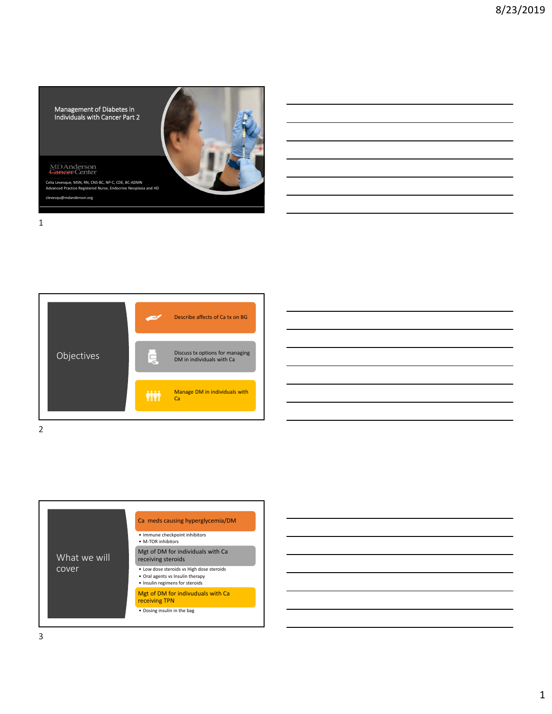

MD Anderson<br>Cancer Center

Celia Levesque, MSN, RN, CNS‐BC, NP‐C, CDE, BC‐ADMN Advanced Practice Registered Nurse, Endocrine Neoplasia and HD u@mdanderson.org



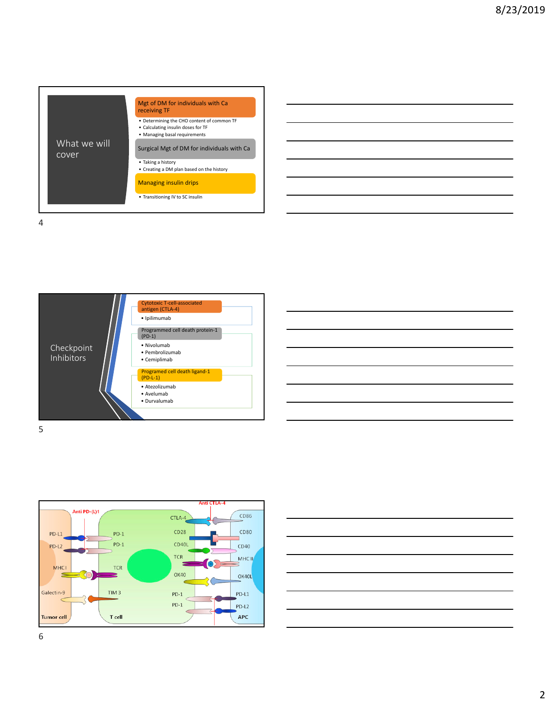







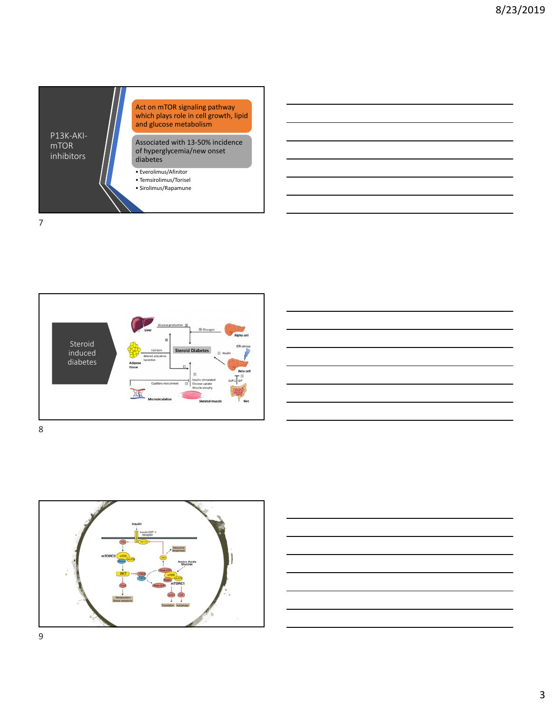









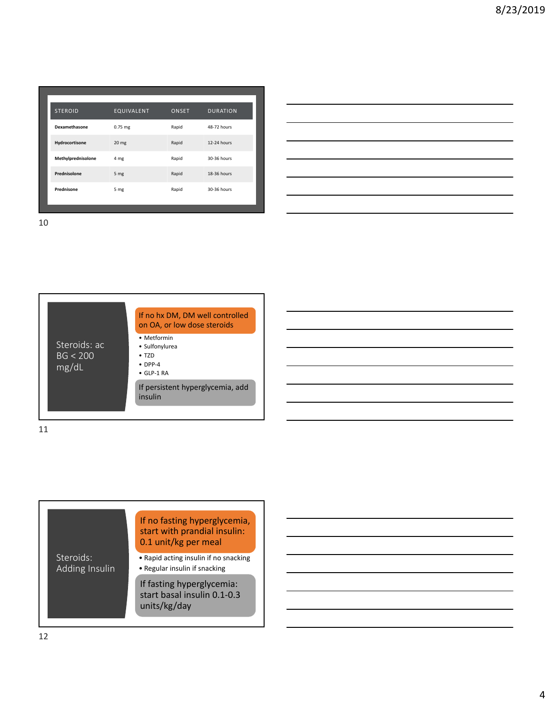| <b>STEROID</b>     | EQUIVALENT | ONSET | <b>DURATION</b> |
|--------------------|------------|-------|-----------------|
| Dexamethasone      | $0.75$ mg  | Rapid | 48-72 hours     |
| Hydrocortisone     | 20 mg      | Rapid | 12-24 hours     |
| Methylprednisolone | 4 mg       | Rapid | 30-36 hours     |
| Prednisolone       | 5 mg       | Rapid | 18-36 hours     |
| Prednisone         | 5 mg       | Rapid | 30-36 hours     |
|                    |            |       |                 |



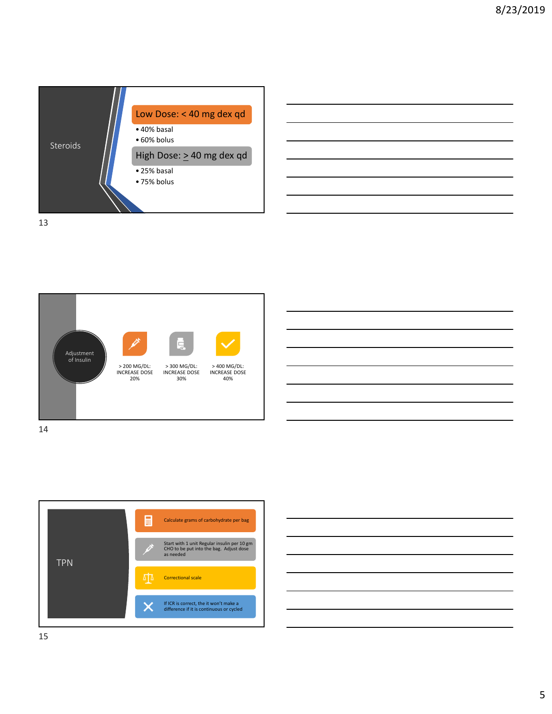









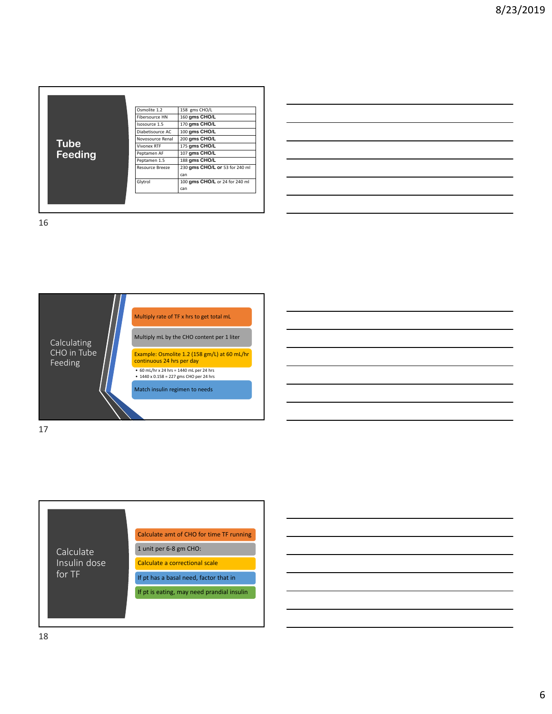| 175 gms CHO/L<br><b>Vivonex RTF</b> | <b>Feeding</b><br>107 gms CHO/L<br>Peptamen AF<br>188 gms CHO/L<br>Peptamen 1.5 | 230 gms CHO/L or 53 for 240 ml<br><b>Resource Breeze</b><br>can<br>100 gms CHO/L or 24 for 240 ml<br>Glytrol | <b>Tube</b> | Osmolite 1.2<br>Fibersource HN<br>Isosource 1.5<br>Diabetisource AC<br>Novosource Renal | 158 gms CHO/L<br>160 gms CHO/L<br>170 gms CHO/L<br>100 gms CHO/L<br>200 gms CHO/L |
|-------------------------------------|---------------------------------------------------------------------------------|--------------------------------------------------------------------------------------------------------------|-------------|-----------------------------------------------------------------------------------------|-----------------------------------------------------------------------------------|
|-------------------------------------|---------------------------------------------------------------------------------|--------------------------------------------------------------------------------------------------------------|-------------|-----------------------------------------------------------------------------------------|-----------------------------------------------------------------------------------|

| <u> London a componente de la componente de la componente de la componente de la componente de la componente de la</u> |                                                                                                                         |  |  |
|------------------------------------------------------------------------------------------------------------------------|-------------------------------------------------------------------------------------------------------------------------|--|--|
|                                                                                                                        | <u> 1989 - Johann Barbara, marka a shekara ta 1989 - Anna a shekara ta 1989 - Anna a tsarar 1989 - Anna a tsara</u>     |  |  |
|                                                                                                                        | <u> 1989 - Johann Harry Harry Harry Harry Harry Harry Harry Harry Harry Harry Harry Harry Harry Harry Harry Harry H</u> |  |  |
|                                                                                                                        | <u> 1989 - Johann Harry Harry Harry Harry Harry Harry Harry Harry Harry Harry Harry Harry Harry Harry Harry Harry H</u> |  |  |
|                                                                                                                        | <u> 1989 - Johann Harry Harry Harry Harry Harry Harry Harry Harry Harry Harry Harry Harry Harry Harry Harry Harry H</u> |  |  |
|                                                                                                                        | <u> Alexandro de la contrada de la contrada de la contrada de la contrada de la contrada de la contrada de la co</u>    |  |  |
|                                                                                                                        |                                                                                                                         |  |  |



17

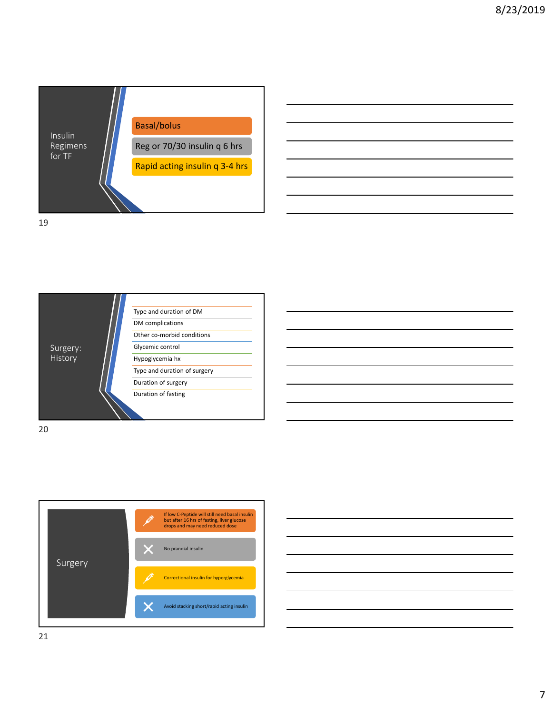